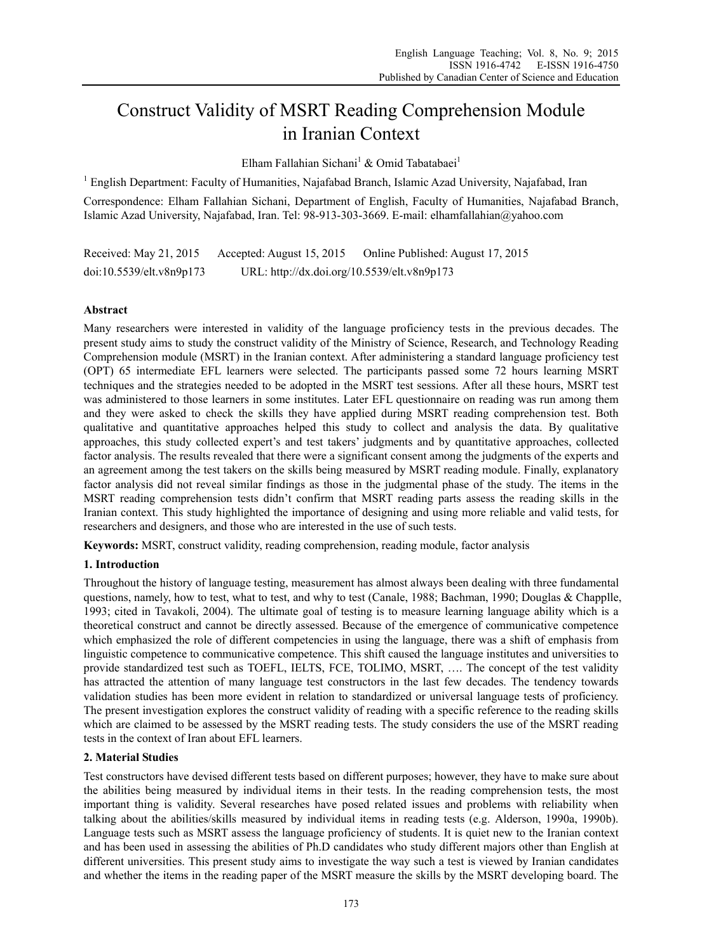# Construct Validity of MSRT Reading Comprehension Module in Iranian Context

Elham Fallahian Sichani<sup>1</sup> & Omid Tabatabaei<sup>1</sup>

<sup>1</sup> English Department: Faculty of Humanities, Najafabad Branch, Islamic Azad University, Najafabad, Iran

Correspondence: Elham Fallahian Sichani, Department of English, Faculty of Humanities, Najafabad Branch, Islamic Azad University, Najafabad, Iran. Tel: 98-913-303-3669. E-mail: elhamfallahian@yahoo.com

Received: May 21, 2015 Accepted: August 15, 2015 Online Published: August 17, 2015 doi:10.5539/elt.v8n9p173 URL: http://dx.doi.org/10.5539/elt.v8n9p173

# **Abstract**

Many researchers were interested in validity of the language proficiency tests in the previous decades. The present study aims to study the construct validity of the Ministry of Science, Research, and Technology Reading Comprehension module (MSRT) in the Iranian context. After administering a standard language proficiency test (OPT) 65 intermediate EFL learners were selected. The participants passed some 72 hours learning MSRT techniques and the strategies needed to be adopted in the MSRT test sessions. After all these hours, MSRT test was administered to those learners in some institutes. Later EFL questionnaire on reading was run among them and they were asked to check the skills they have applied during MSRT reading comprehension test. Both qualitative and quantitative approaches helped this study to collect and analysis the data. By qualitative approaches, this study collected expert's and test takers' judgments and by quantitative approaches, collected factor analysis. The results revealed that there were a significant consent among the judgments of the experts and an agreement among the test takers on the skills being measured by MSRT reading module. Finally, explanatory factor analysis did not reveal similar findings as those in the judgmental phase of the study. The items in the MSRT reading comprehension tests didn't confirm that MSRT reading parts assess the reading skills in the Iranian context. This study highlighted the importance of designing and using more reliable and valid tests, for researchers and designers, and those who are interested in the use of such tests.

**Keywords:** MSRT, construct validity, reading comprehension, reading module, factor analysis

#### **1. Introduction**

Throughout the history of language testing, measurement has almost always been dealing with three fundamental questions, namely, how to test, what to test, and why to test (Canale, 1988; Bachman, 1990; Douglas & Chapplle, 1993; cited in Tavakoli, 2004). The ultimate goal of testing is to measure learning language ability which is a theoretical construct and cannot be directly assessed. Because of the emergence of communicative competence which emphasized the role of different competencies in using the language, there was a shift of emphasis from linguistic competence to communicative competence. This shift caused the language institutes and universities to provide standardized test such as TOEFL, IELTS, FCE, TOLIMO, MSRT, …. The concept of the test validity has attracted the attention of many language test constructors in the last few decades. The tendency towards validation studies has been more evident in relation to standardized or universal language tests of proficiency. The present investigation explores the construct validity of reading with a specific reference to the reading skills which are claimed to be assessed by the MSRT reading tests. The study considers the use of the MSRT reading tests in the context of Iran about EFL learners.

# **2. Material Studies**

Test constructors have devised different tests based on different purposes; however, they have to make sure about the abilities being measured by individual items in their tests. In the reading comprehension tests, the most important thing is validity. Several researches have posed related issues and problems with reliability when talking about the abilities/skills measured by individual items in reading tests (e.g. Alderson, 1990a, 1990b). Language tests such as MSRT assess the language proficiency of students. It is quiet new to the Iranian context and has been used in assessing the abilities of Ph.D candidates who study different majors other than English at different universities. This present study aims to investigate the way such a test is viewed by Iranian candidates and whether the items in the reading paper of the MSRT measure the skills by the MSRT developing board. The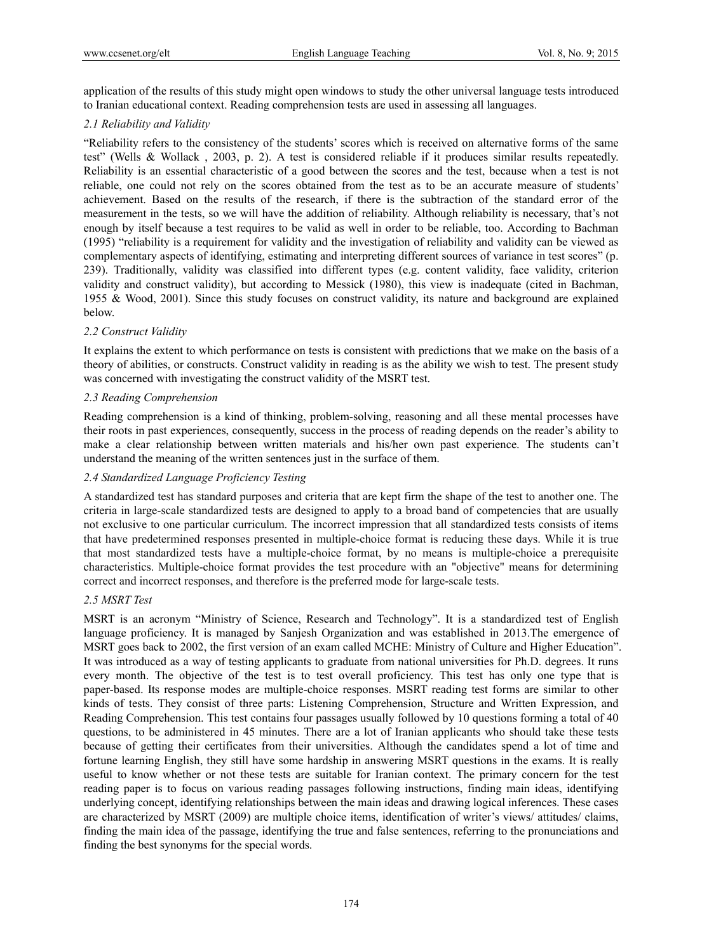application of the results of this study might open windows to study the other universal language tests introduced to Iranian educational context. Reading comprehension tests are used in assessing all languages.

#### *2.1 Reliability and Validity*

"Reliability refers to the consistency of the students' scores which is received on alternative forms of the same test" (Wells & Wollack , 2003, p. 2). A test is considered reliable if it produces similar results repeatedly. Reliability is an essential characteristic of a good between the scores and the test, because when a test is not reliable, one could not rely on the scores obtained from the test as to be an accurate measure of students' achievement. Based on the results of the research, if there is the subtraction of the standard error of the measurement in the tests, so we will have the addition of reliability. Although reliability is necessary, that's not enough by itself because a test requires to be valid as well in order to be reliable, too. According to Bachman (1995) "reliability is a requirement for validity and the investigation of reliability and validity can be viewed as complementary aspects of identifying, estimating and interpreting different sources of variance in test scores" (p. 239). Traditionally, validity was classified into different types (e.g. content validity, face validity, criterion validity and construct validity), but according to Messick (1980), this view is inadequate (cited in Bachman, 1955 & Wood, 2001). Since this study focuses on construct validity, its nature and background are explained below.

## *2.2 Construct Validity*

It explains the extent to which performance on tests is consistent with predictions that we make on the basis of a theory of abilities, or constructs. Construct validity in reading is as the ability we wish to test. The present study was concerned with investigating the construct validity of the MSRT test.

#### *2.3 Reading Comprehension*

Reading comprehension is a kind of thinking, problem-solving, reasoning and all these mental processes have their roots in past experiences, consequently, success in the process of reading depends on the reader's ability to make a clear relationship between written materials and his/her own past experience. The students can't understand the meaning of the written sentences just in the surface of them.

#### *2.4 Standardized Language Proficiency Testing*

A standardized test has standard purposes and criteria that are kept firm the shape of the test to another one. The criteria in large-scale standardized tests are designed to apply to a broad band of competencies that are usually not exclusive to one particular curriculum. The incorrect impression that all standardized tests consists of items that have predetermined responses presented in multiple-choice format is reducing these days. While it is true that most standardized tests have a multiple-choice format, by no means is multiple-choice a prerequisite characteristics. Multiple-choice format provides the test procedure with an "objective" means for determining correct and incorrect responses, and therefore is the preferred mode for large-scale tests.

#### *2.5 MSRT Test*

MSRT is an acronym "Ministry of Science, Research and Technology". It is a standardized test of English language proficiency. It is managed by Sanjesh Organization and was established in 2013.The emergence of MSRT goes back to 2002, the first version of an exam called MCHE: Ministry of Culture and Higher Education". It was introduced as a way of testing applicants to graduate from national universities for Ph.D. degrees. It runs every month. The objective of the test is to test overall proficiency. This test has only one type that is paper-based. Its response modes are multiple-choice responses. MSRT reading test forms are similar to other kinds of tests. They consist of three parts: Listening Comprehension, Structure and Written Expression, and Reading Comprehension. This test contains four passages usually followed by 10 questions forming a total of 40 questions, to be administered in 45 minutes. There are a lot of Iranian applicants who should take these tests because of getting their certificates from their universities. Although the candidates spend a lot of time and fortune learning English, they still have some hardship in answering MSRT questions in the exams. It is really useful to know whether or not these tests are suitable for Iranian context. The primary concern for the test reading paper is to focus on various reading passages following instructions, finding main ideas, identifying underlying concept, identifying relationships between the main ideas and drawing logical inferences. These cases are characterized by MSRT (2009) are multiple choice items, identification of writer's views/ attitudes/ claims, finding the main idea of the passage, identifying the true and false sentences, referring to the pronunciations and finding the best synonyms for the special words.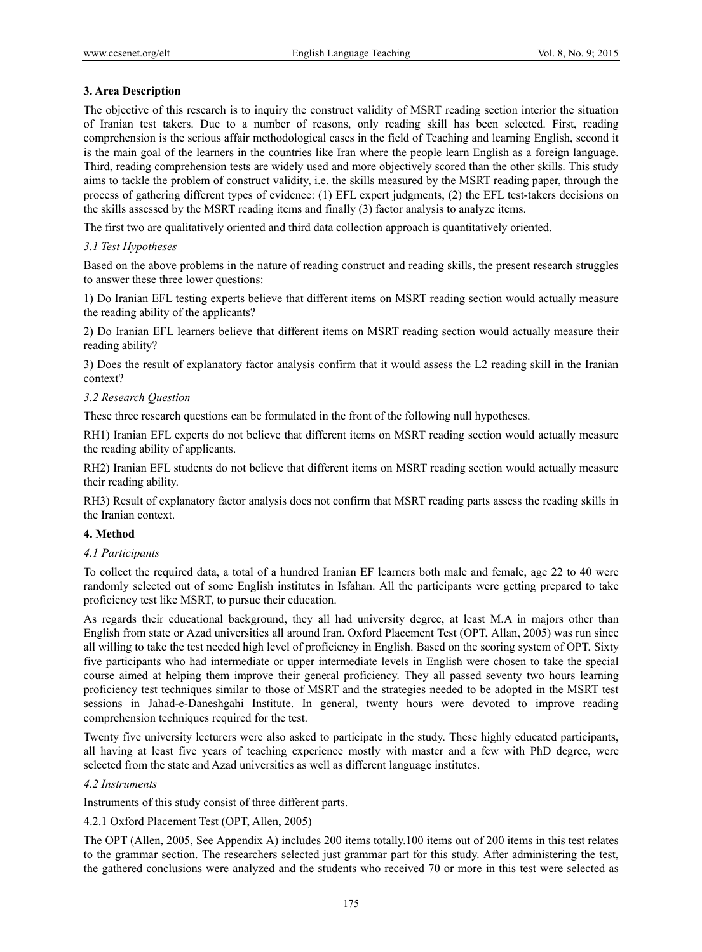#### **3. Area Description**

The objective of this research is to inquiry the construct validity of MSRT reading section interior the situation of Iranian test takers. Due to a number of reasons, only reading skill has been selected. First, reading comprehension is the serious affair methodological cases in the field of Teaching and learning English, second it is the main goal of the learners in the countries like Iran where the people learn English as a foreign language. Third, reading comprehension tests are widely used and more objectively scored than the other skills. This study aims to tackle the problem of construct validity, i.e. the skills measured by the MSRT reading paper, through the process of gathering different types of evidence: (1) EFL expert judgments, (2) the EFL test-takers decisions on the skills assessed by the MSRT reading items and finally (3) factor analysis to analyze items.

The first two are qualitatively oriented and third data collection approach is quantitatively oriented.

#### *3.1 Test Hypotheses*

Based on the above problems in the nature of reading construct and reading skills, the present research struggles to answer these three lower questions:

1) Do Iranian EFL testing experts believe that different items on MSRT reading section would actually measure the reading ability of the applicants?

2) Do Iranian EFL learners believe that different items on MSRT reading section would actually measure their reading ability?

3) Does the result of explanatory factor analysis confirm that it would assess the L2 reading skill in the Iranian context?

#### *3.2 Research Question*

These three research questions can be formulated in the front of the following null hypotheses.

RH1) Iranian EFL experts do not believe that different items on MSRT reading section would actually measure the reading ability of applicants.

RH2) Iranian EFL students do not believe that different items on MSRT reading section would actually measure their reading ability.

RH3) Result of explanatory factor analysis does not confirm that MSRT reading parts assess the reading skills in the Iranian context.

#### **4. Method**

#### *4.1 Participants*

To collect the required data, a total of a hundred Iranian EF learners both male and female, age 22 to 40 were randomly selected out of some English institutes in Isfahan. All the participants were getting prepared to take proficiency test like MSRT, to pursue their education.

As regards their educational background, they all had university degree, at least M.A in majors other than English from state or Azad universities all around Iran. Oxford Placement Test (OPT, Allan, 2005) was run since all willing to take the test needed high level of proficiency in English. Based on the scoring system of OPT, Sixty five participants who had intermediate or upper intermediate levels in English were chosen to take the special course aimed at helping them improve their general proficiency. They all passed seventy two hours learning proficiency test techniques similar to those of MSRT and the strategies needed to be adopted in the MSRT test sessions in Jahad-e-Daneshgahi Institute. In general, twenty hours were devoted to improve reading comprehension techniques required for the test.

Twenty five university lecturers were also asked to participate in the study. These highly educated participants, all having at least five years of teaching experience mostly with master and a few with PhD degree, were selected from the state and Azad universities as well as different language institutes.

#### *4.2 Instruments*

Instruments of this study consist of three different parts.

4.2.1 Oxford Placement Test (OPT, Allen, 2005)

The OPT (Allen, 2005, See Appendix A) includes 200 items totally.100 items out of 200 items in this test relates to the grammar section. The researchers selected just grammar part for this study. After administering the test, the gathered conclusions were analyzed and the students who received 70 or more in this test were selected as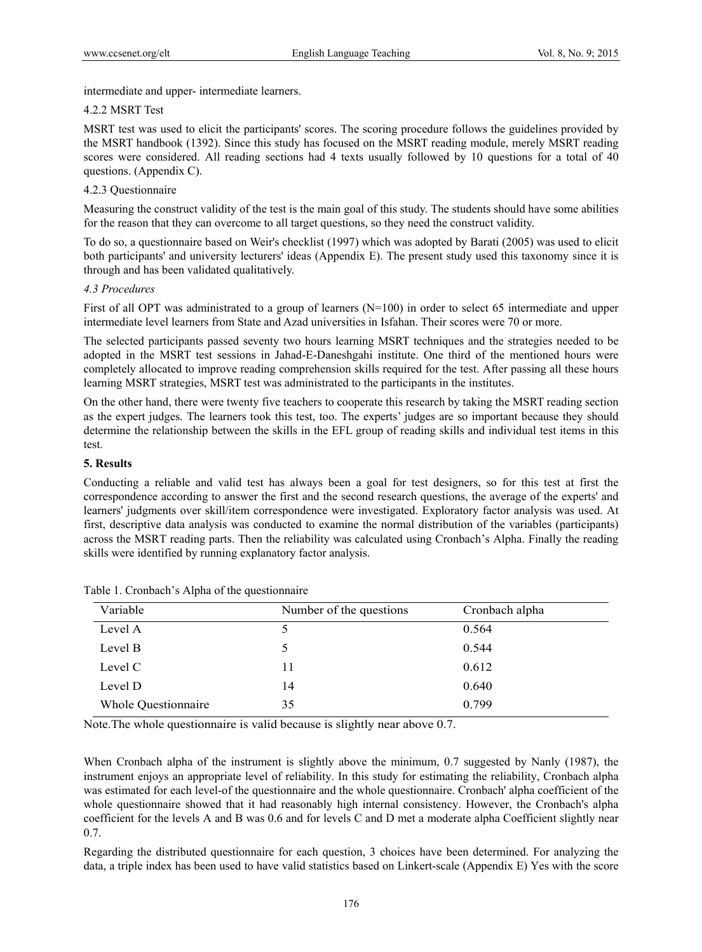intermediate and upper- intermediate learners.

#### 4.2.2 MSRT Test

MSRT test was used to elicit the participants' scores. The scoring procedure follows the guidelines provided by the MSRT handbook (1392). Since this study has focused on the MSRT reading module, merely MSRT reading scores were considered. All reading sections had 4 texts usually followed by 10 questions for a total of 40 questions. (Appendix C).

#### 4.2.3 Questionnaire

Measuring the construct validity of the test is the main goal of this study. The students should have some abilities for the reason that they can overcome to all target questions, so they need the construct validity.

To do so, a questionnaire based on Weir's checklist (1997) which was adopted by Barati (2005) was used to elicit both participants' and university lecturers' ideas (Appendix E). The present study used this taxonomy since it is through and has been validated qualitatively.

## *4.3 Procedures*

First of all OPT was administrated to a group of learners (N=100) in order to select 65 intermediate and upper intermediate level learners from State and Azad universities in Isfahan. Their scores were 70 or more.

The selected participants passed seventy two hours learning MSRT techniques and the strategies needed to be adopted in the MSRT test sessions in Jahad-E-Daneshgahi institute. One third of the mentioned hours were completely allocated to improve reading comprehension skills required for the test. After passing all these hours learning MSRT strategies, MSRT test was administrated to the participants in the institutes.

On the other hand, there were twenty five teachers to cooperate this research by taking the MSRT reading section as the expert judges. The learners took this test, too. The experts' judges are so important because they should determine the relationship between the skills in the EFL group of reading skills and individual test items in this test.

## **5. Results**

Conducting a reliable and valid test has always been a goal for test designers, so for this test at first the correspondence according to answer the first and the second research questions, the average of the experts' and learners' judgments over skill/item correspondence were investigated. Exploratory factor analysis was used. At first, descriptive data analysis was conducted to examine the normal distribution of the variables (participants) across the MSRT reading parts. Then the reliability was calculated using Cronbach's Alpha. Finally the reading skills were identified by running explanatory factor analysis.

| Variable                   | Number of the questions | Cronbach alpha |
|----------------------------|-------------------------|----------------|
| Level A                    | C                       | 0.564          |
| Level B                    |                         | 0.544          |
| Level C                    | 11                      | 0.612          |
| Level D                    | 14                      | 0.640          |
| <b>Whole Questionnaire</b> | 35                      | 0.799          |

Table 1. Cronbach's Alpha of the questionnaire

Note.The whole questionnaire is valid because is slightly near above 0.7.

When Cronbach alpha of the instrument is slightly above the minimum, 0.7 suggested by Nanly (1987), the instrument enjoys an appropriate level of reliability. In this study for estimating the reliability, Cronbach alpha was estimated for each level-of the questionnaire and the whole questionnaire. Cronbach' alpha coefficient of the whole questionnaire showed that it had reasonably high internal consistency. However, the Cronbach's alpha coefficient for the levels A and B was 0.6 and for levels C and D met a moderate alpha Coefficient slightly near 0.7.

Regarding the distributed questionnaire for each question, 3 choices have been determined. For analyzing the data, a triple index has been used to have valid statistics based on Linkert-scale (Appendix E) Yes with the score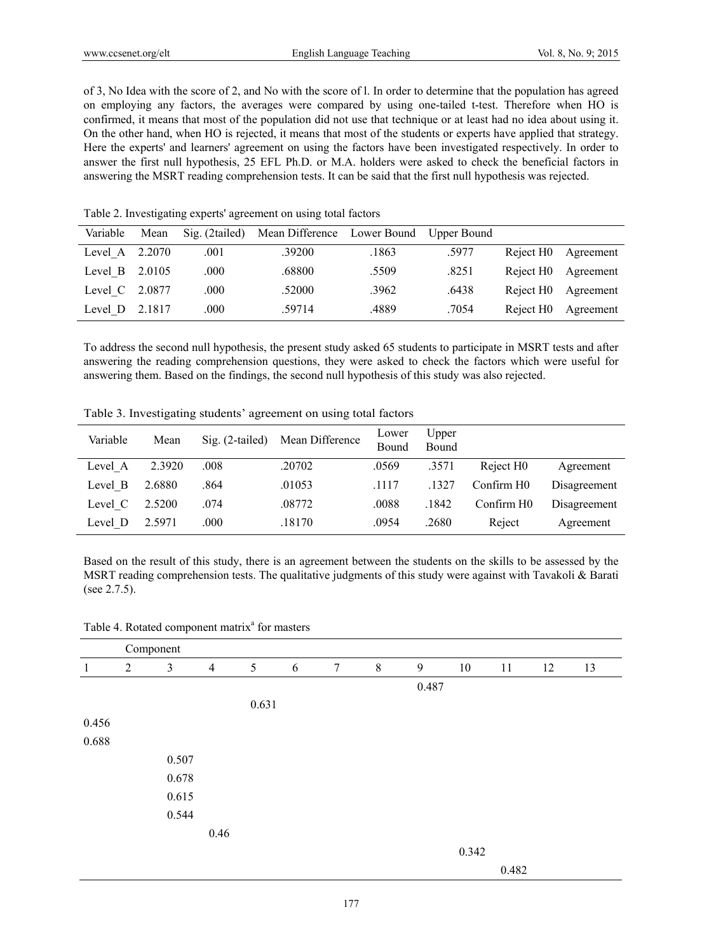of 3, No Idea with the score of 2, and No with the score of l. In order to determine that the population has agreed on employing any factors, the averages were compared by using one-tailed t-test. Therefore when HO is confirmed, it means that most of the population did not use that technique or at least had no idea about using it. On the other hand, when HO is rejected, it means that most of the students or experts have applied that strategy. Here the experts' and learners' agreement on using the factors have been investigated respectively. In order to answer the first null hypothesis, 25 EFL Ph.D. or M.A. holders were asked to check the beneficial factors in answering the MSRT reading comprehension tests. It can be said that the first null hypothesis was rejected.

| Variable         | Mean   | Sig. (2tailed) | Mean Difference Lower Bound Upper Bound |       |       |                       |                     |
|------------------|--------|----------------|-----------------------------------------|-------|-------|-----------------------|---------------------|
| Level A $2.2070$ |        | .001           | .39200                                  | .1863 | .5977 |                       | Reject H0 Agreement |
| Level B          | 2.0105 | .000           | .68800                                  | .5509 | .8251 | Reject H <sub>0</sub> | Agreement           |
| Level C          | 2.0877 | .000           | .52000                                  | .3962 | .6438 |                       | Reject H0 Agreement |
| Level D          | 2.1817 | .000           | .59714                                  | .4889 | .7054 | Reject H <sub>0</sub> | Agreement           |

Table 2. Investigating experts' agreement on using total factors

To address the second null hypothesis, the present study asked 65 students to participate in MSRT tests and after answering the reading comprehension questions, they were asked to check the factors which were useful for answering them. Based on the findings, the second null hypothesis of this study was also rejected.

| Table 3. Investigating students' agreement on using total factors |  |  |  |  |  |  |  |
|-------------------------------------------------------------------|--|--|--|--|--|--|--|
|-------------------------------------------------------------------|--|--|--|--|--|--|--|

| Variable | Mean   | $Sig. (2-tailed)$ | Mean Difference | Lower<br>Bound | Upper<br>Bound |                        |              |
|----------|--------|-------------------|-----------------|----------------|----------------|------------------------|--------------|
| Level A  | 2.3920 | .008              | .20702          | .0569          | .3571          | Reject H <sub>0</sub>  | Agreement    |
| Level B  | 2.6880 | .864              | .01053          | .1117          | .1327          | Confirm H <sub>0</sub> | Disagreement |
| Level C  | 2.5200 | .074              | .08772          | .0088          | .1842          | Confirm H <sub>0</sub> | Disagreement |
| Level D  | 2.5971 | .000              | .18170          | .0954          | .2680          | Reject                 | Agreement    |

Based on the result of this study, there is an agreement between the students on the skills to be assessed by the MSRT reading comprehension tests. The qualitative judgments of this study were against with Tavakoli & Barati (see 2.7.5).

Table 4. Rotated component matrix<sup>ª</sup> for masters

|              | Component      |                |                |       |   |                |         |       |       |       |    |    |  |
|--------------|----------------|----------------|----------------|-------|---|----------------|---------|-------|-------|-------|----|----|--|
| $\mathbf{1}$ | $\overline{2}$ | $\mathfrak{Z}$ | $\overline{4}$ | 5     | 6 | $\overline{7}$ | $\,8\,$ | 9     | 10    | 11    | 12 | 13 |  |
|              |                |                |                |       |   |                |         | 0.487 |       |       |    |    |  |
|              |                |                |                | 0.631 |   |                |         |       |       |       |    |    |  |
| 0.456        |                |                |                |       |   |                |         |       |       |       |    |    |  |
| 0.688        |                |                |                |       |   |                |         |       |       |       |    |    |  |
|              |                | 0.507          |                |       |   |                |         |       |       |       |    |    |  |
|              |                | 0.678          |                |       |   |                |         |       |       |       |    |    |  |
|              |                | 0.615          |                |       |   |                |         |       |       |       |    |    |  |
|              |                | 0.544          |                |       |   |                |         |       |       |       |    |    |  |
|              |                |                | 0.46           |       |   |                |         |       |       |       |    |    |  |
|              |                |                |                |       |   |                |         |       | 0.342 |       |    |    |  |
|              |                |                |                |       |   |                |         |       |       | 0.482 |    |    |  |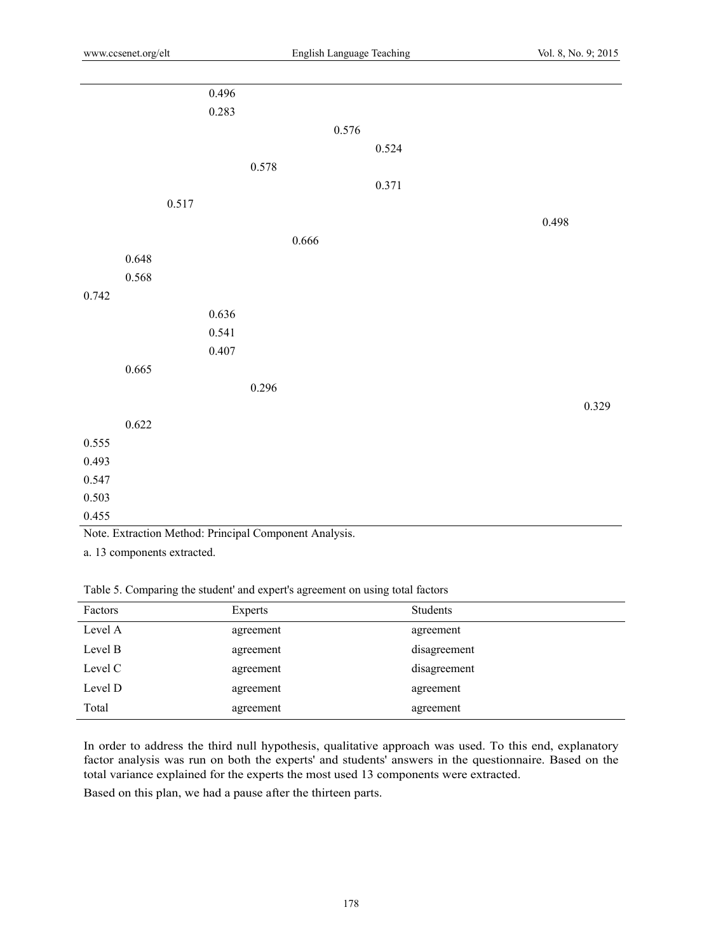|       |       |       | 0.496 |                                                        |       |       |       |  |       |       |
|-------|-------|-------|-------|--------------------------------------------------------|-------|-------|-------|--|-------|-------|
|       |       |       | 0.283 |                                                        |       |       |       |  |       |       |
|       |       |       |       |                                                        |       | 0.576 |       |  |       |       |
|       |       |       |       |                                                        |       |       | 0.524 |  |       |       |
|       |       |       |       | 0.578                                                  |       |       |       |  |       |       |
|       |       |       |       |                                                        |       |       | 0.371 |  |       |       |
|       |       | 0.517 |       |                                                        |       |       |       |  |       |       |
|       |       |       |       |                                                        |       |       |       |  | 0.498 |       |
|       |       |       |       |                                                        | 0.666 |       |       |  |       |       |
|       | 0.648 |       |       |                                                        |       |       |       |  |       |       |
|       | 0.568 |       |       |                                                        |       |       |       |  |       |       |
| 0.742 |       |       |       |                                                        |       |       |       |  |       |       |
|       |       |       | 0.636 |                                                        |       |       |       |  |       |       |
|       |       |       | 0.541 |                                                        |       |       |       |  |       |       |
|       |       |       | 0.407 |                                                        |       |       |       |  |       |       |
|       | 0.665 |       |       |                                                        |       |       |       |  |       |       |
|       |       |       |       | 0.296                                                  |       |       |       |  |       |       |
|       |       |       |       |                                                        |       |       |       |  |       | 0.329 |
|       | 0.622 |       |       |                                                        |       |       |       |  |       |       |
|       |       |       |       |                                                        |       |       |       |  |       |       |
| 0.555 |       |       |       |                                                        |       |       |       |  |       |       |
| 0.493 |       |       |       |                                                        |       |       |       |  |       |       |
| 0.547 |       |       |       |                                                        |       |       |       |  |       |       |
| 0.503 |       |       |       |                                                        |       |       |       |  |       |       |
| 0.455 |       |       |       |                                                        |       |       |       |  |       |       |
|       |       |       |       | Note. Extraction Method: Principal Component Analysis. |       |       |       |  |       |       |

a. 13 components extracted.

Table 5. Comparing the student' and expert's agreement on using total factors

| Factors | Experts   | <b>Students</b> |
|---------|-----------|-----------------|
| Level A | agreement | agreement       |
| Level B | agreement | disagreement    |
| Level C | agreement | disagreement    |
| Level D | agreement | agreement       |
| Total   | agreement | agreement       |

In order to address the third null hypothesis, qualitative approach was used. To this end, explanatory factor analysis was run on both the experts' and students' answers in the questionnaire. Based on the total variance explained for the experts the most used 13 components were extracted.

Based on this plan, we had a pause after the thirteen parts.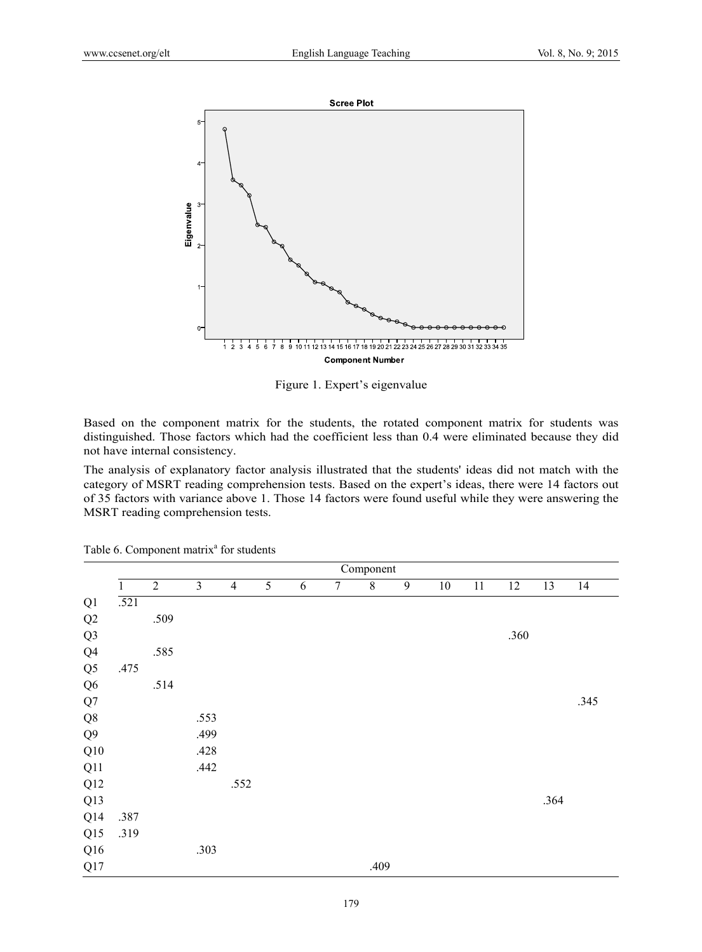

Figure 1. Expert's eigenvalue

Based on the component matrix for the students, the rotated component matrix for students was distinguished. Those factors which had the coefficient less than 0.4 were eliminated because they did not have internal consistency.

The analysis of explanatory factor analysis illustrated that the students' ideas did not match with the category of MSRT reading comprehension tests. Based on the expert's ideas, there were 14 factors out of 35 factors with variance above 1. Those 14 factors were found useful while they were answering the MSRT reading comprehension tests.

|                |      |            |                |                |   |   |                  | Component |                |        |    |      |      |      |
|----------------|------|------------|----------------|----------------|---|---|------------------|-----------|----------------|--------|----|------|------|------|
|                |      | $\sqrt{2}$ | $\mathfrak{Z}$ | $\overline{4}$ | 5 | 6 | $\boldsymbol{7}$ | $\,8\,$   | $\overline{9}$ | $10\,$ | 11 | 12   | 13   | 14   |
| $\mathbf{Q}1$  | .521 |            |                |                |   |   |                  |           |                |        |    |      |      |      |
| Q2             |      | .509       |                |                |   |   |                  |           |                |        |    |      |      |      |
| Q <sub>3</sub> |      |            |                |                |   |   |                  |           |                |        |    | .360 |      |      |
| Q <sub>4</sub> |      | .585       |                |                |   |   |                  |           |                |        |    |      |      |      |
| Q <sub>5</sub> | .475 |            |                |                |   |   |                  |           |                |        |    |      |      |      |
| Q <sub>6</sub> |      | .514       |                |                |   |   |                  |           |                |        |    |      |      |      |
| Q7             |      |            |                |                |   |   |                  |           |                |        |    |      |      | .345 |
| ${\bf Q}8$     |      |            | .553           |                |   |   |                  |           |                |        |    |      |      |      |
| Q <sub>9</sub> |      |            | .499           |                |   |   |                  |           |                |        |    |      |      |      |
| Q10            |      |            | .428           |                |   |   |                  |           |                |        |    |      |      |      |
| Q11            |      |            | .442           |                |   |   |                  |           |                |        |    |      |      |      |
| Q12            |      |            |                | .552           |   |   |                  |           |                |        |    |      |      |      |
| Q13            |      |            |                |                |   |   |                  |           |                |        |    |      | .364 |      |
| Q14            | .387 |            |                |                |   |   |                  |           |                |        |    |      |      |      |
| Q15            | .319 |            |                |                |   |   |                  |           |                |        |    |      |      |      |
| Q16            |      |            | .303           |                |   |   |                  |           |                |        |    |      |      |      |
| Q17            |      |            |                |                |   |   |                  | .409      |                |        |    |      |      |      |

|  | Table 6. Component matrix <sup>a</sup> for students |  |  |  |
|--|-----------------------------------------------------|--|--|--|
|--|-----------------------------------------------------|--|--|--|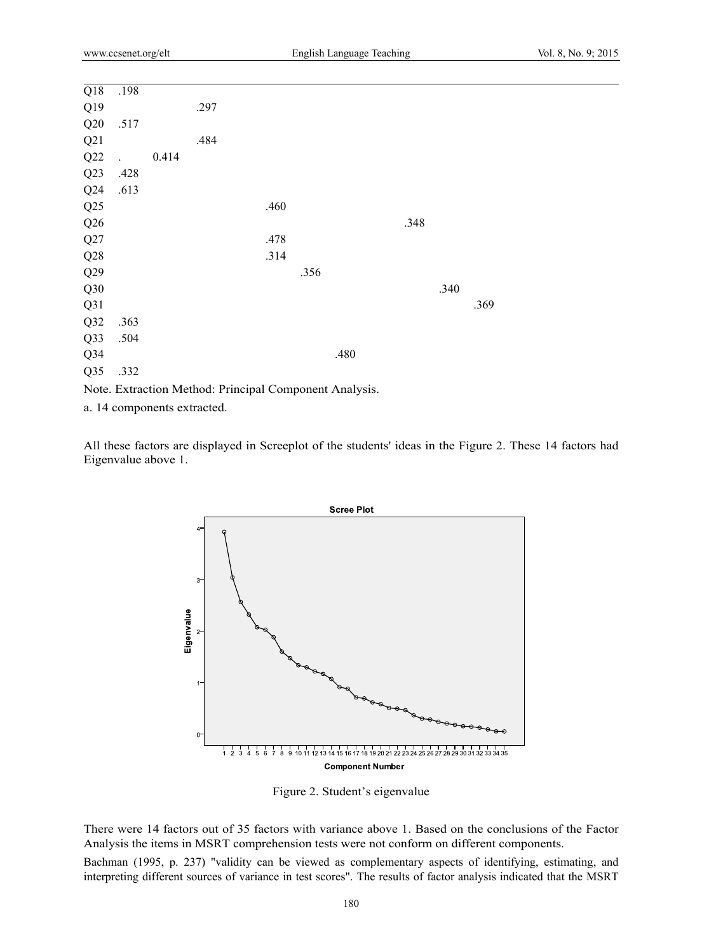| $\overline{Q18}$ | .198 |       |      |      |      |      |      |      |      |  |  |
|------------------|------|-------|------|------|------|------|------|------|------|--|--|
| Q19              |      |       | .297 |      |      |      |      |      |      |  |  |
| Q20              | .517 |       |      |      |      |      |      |      |      |  |  |
| Q21              |      |       | .484 |      |      |      |      |      |      |  |  |
| Q22              |      | 0.414 |      |      |      |      |      |      |      |  |  |
| Q23              | .428 |       |      |      |      |      |      |      |      |  |  |
| Q24              | .613 |       |      |      |      |      |      |      |      |  |  |
| Q25              |      |       |      | .460 |      |      |      |      |      |  |  |
| Q26              |      |       |      |      |      |      | .348 |      |      |  |  |
| Q27              |      |       |      | .478 |      |      |      |      |      |  |  |
| $\rm Q28$        |      |       |      | .314 |      |      |      |      |      |  |  |
| Q29              |      |       |      |      | .356 |      |      |      |      |  |  |
| Q30              |      |       |      |      |      |      |      | .340 |      |  |  |
| Q31              |      |       |      |      |      |      |      |      | .369 |  |  |
| Q32              | .363 |       |      |      |      |      |      |      |      |  |  |
| Q <sub>3</sub> 3 | .504 |       |      |      |      |      |      |      |      |  |  |
| $Q$ 34           |      |       |      |      |      | .480 |      |      |      |  |  |
| Q35              | .332 |       |      |      |      |      |      |      |      |  |  |

Note. Extraction Method: Principal Component Analysis.

a. 14 components extracted.

All these factors are displayed in Screeplot of the students' ideas in the Figure 2. These 14 factors had Eigenvalue above 1.



Figure 2. Student's eigenvalue

There were 14 factors out of 35 factors with variance above 1. Based on the conclusions of the Factor Analysis the items in MSRT comprehension tests were not conform on different components.

Bachman (1995, p. 237) "validity can be viewed as complementary aspects of identifying, estimating, and interpreting different sources of variance in test scores". The results of factor analysis indicated that the MSRT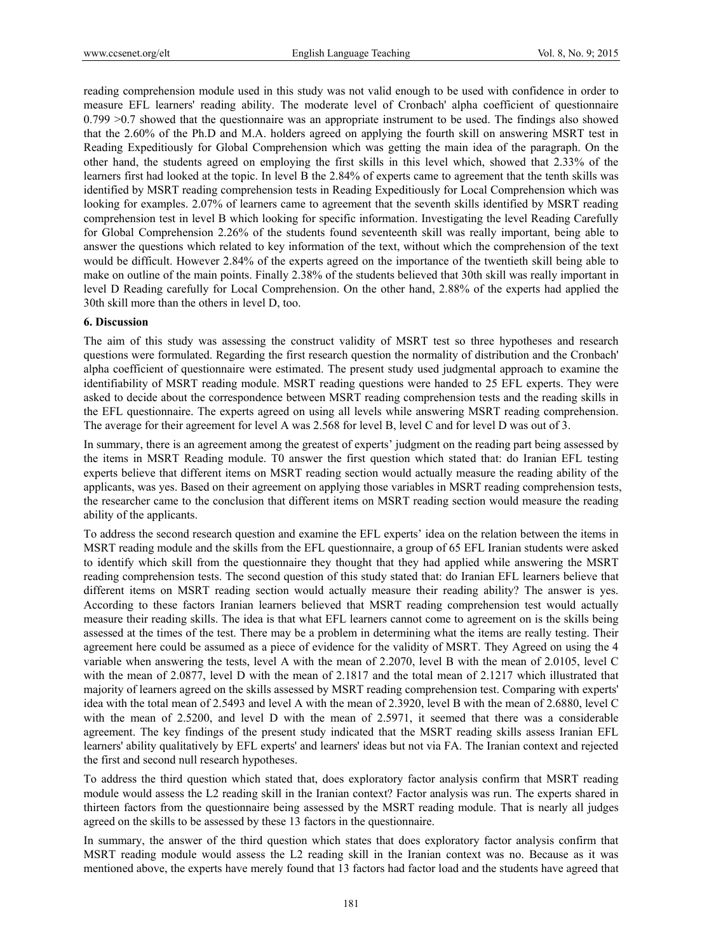reading comprehension module used in this study was not valid enough to be used with confidence in order to measure EFL learners' reading ability. The moderate level of Cronbach' alpha coefficient of questionnaire 0.799 >0.7 showed that the questionnaire was an appropriate instrument to be used. The findings also showed that the 2.60% of the Ph.D and M.A. holders agreed on applying the fourth skill on answering MSRT test in Reading Expeditiously for Global Comprehension which was getting the main idea of the paragraph. On the other hand, the students agreed on employing the first skills in this level which, showed that 2.33% of the learners first had looked at the topic. In level B the 2.84% of experts came to agreement that the tenth skills was identified by MSRT reading comprehension tests in Reading Expeditiously for Local Comprehension which was looking for examples. 2.07% of learners came to agreement that the seventh skills identified by MSRT reading comprehension test in level B which looking for specific information. Investigating the level Reading Carefully for Global Comprehension 2.26% of the students found seventeenth skill was really important, being able to answer the questions which related to key information of the text, without which the comprehension of the text would be difficult. However 2.84% of the experts agreed on the importance of the twentieth skill being able to make on outline of the main points. Finally 2.38% of the students believed that 30th skill was really important in level D Reading carefully for Local Comprehension. On the other hand, 2.88% of the experts had applied the 30th skill more than the others in level D, too.

#### **6. Discussion**

The aim of this study was assessing the construct validity of MSRT test so three hypotheses and research questions were formulated. Regarding the first research question the normality of distribution and the Cronbach' alpha coefficient of questionnaire were estimated. The present study used judgmental approach to examine the identifiability of MSRT reading module. MSRT reading questions were handed to 25 EFL experts. They were asked to decide about the correspondence between MSRT reading comprehension tests and the reading skills in the EFL questionnaire. The experts agreed on using all levels while answering MSRT reading comprehension. The average for their agreement for level A was 2.568 for level B, level C and for level D was out of 3.

In summary, there is an agreement among the greatest of experts' judgment on the reading part being assessed by the items in MSRT Reading module. T0 answer the first question which stated that: do Iranian EFL testing experts believe that different items on MSRT reading section would actually measure the reading ability of the applicants, was yes. Based on their agreement on applying those variables in MSRT reading comprehension tests, the researcher came to the conclusion that different items on MSRT reading section would measure the reading ability of the applicants.

To address the second research question and examine the EFL experts' idea on the relation between the items in MSRT reading module and the skills from the EFL questionnaire, a group of 65 EFL Iranian students were asked to identify which skill from the questionnaire they thought that they had applied while answering the MSRT reading comprehension tests. The second question of this study stated that: do Iranian EFL learners believe that different items on MSRT reading section would actually measure their reading ability? The answer is yes. According to these factors Iranian learners believed that MSRT reading comprehension test would actually measure their reading skills. The idea is that what EFL learners cannot come to agreement on is the skills being assessed at the times of the test. There may be a problem in determining what the items are really testing. Their agreement here could be assumed as a piece of evidence for the validity of MSRT. They Agreed on using the 4 variable when answering the tests, level A with the mean of 2.2070, level B with the mean of 2.0105, level C with the mean of 2.0877, level D with the mean of 2.1817 and the total mean of 2.1217 which illustrated that majority of learners agreed on the skills assessed by MSRT reading comprehension test. Comparing with experts' idea with the total mean of 2.5493 and level A with the mean of 2.3920, level B with the mean of 2.6880, level C with the mean of 2.5200, and level D with the mean of 2.5971, it seemed that there was a considerable agreement. The key findings of the present study indicated that the MSRT reading skills assess Iranian EFL learners' ability qualitatively by EFL experts' and learners' ideas but not via FA. The Iranian context and rejected the first and second null research hypotheses.

To address the third question which stated that, does exploratory factor analysis confirm that MSRT reading module would assess the L2 reading skill in the Iranian context? Factor analysis was run. The experts shared in thirteen factors from the questionnaire being assessed by the MSRT reading module. That is nearly all judges agreed on the skills to be assessed by these 13 factors in the questionnaire.

In summary, the answer of the third question which states that does exploratory factor analysis confirm that MSRT reading module would assess the L2 reading skill in the Iranian context was no. Because as it was mentioned above, the experts have merely found that 13 factors had factor load and the students have agreed that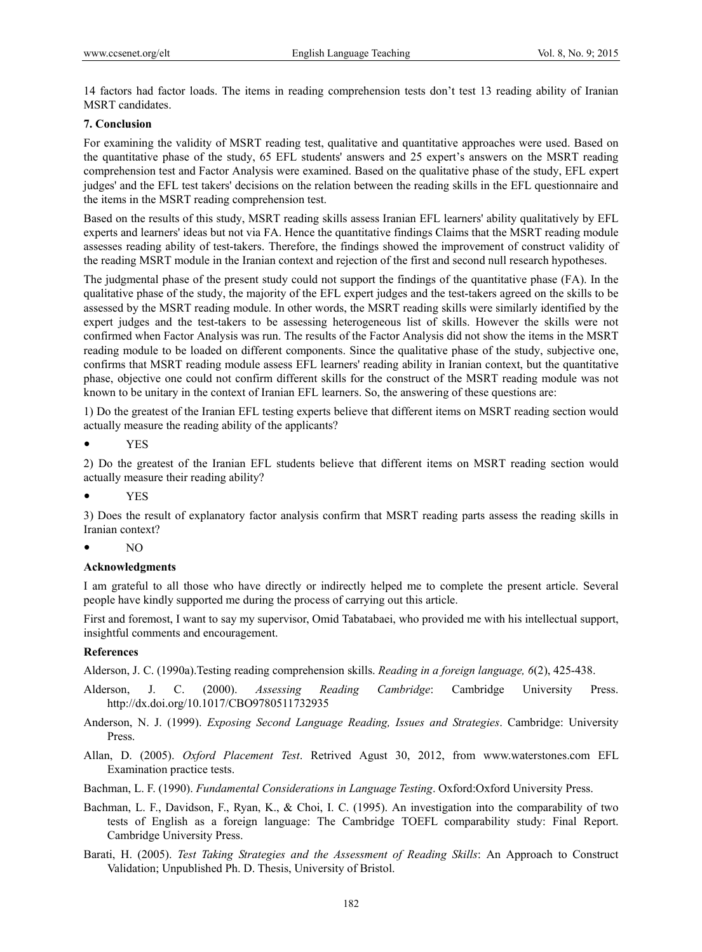14 factors had factor loads. The items in reading comprehension tests don't test 13 reading ability of Iranian MSRT candidates.

#### **7. Conclusion**

For examining the validity of MSRT reading test, qualitative and quantitative approaches were used. Based on the quantitative phase of the study, 65 EFL students' answers and 25 expert's answers on the MSRT reading comprehension test and Factor Analysis were examined. Based on the qualitative phase of the study, EFL expert judges' and the EFL test takers' decisions on the relation between the reading skills in the EFL questionnaire and the items in the MSRT reading comprehension test.

Based on the results of this study, MSRT reading skills assess Iranian EFL learners' ability qualitatively by EFL experts and learners' ideas but not via FA. Hence the quantitative findings Claims that the MSRT reading module assesses reading ability of test-takers. Therefore, the findings showed the improvement of construct validity of the reading MSRT module in the Iranian context and rejection of the first and second null research hypotheses.

The judgmental phase of the present study could not support the findings of the quantitative phase (FA). In the qualitative phase of the study, the majority of the EFL expert judges and the test-takers agreed on the skills to be assessed by the MSRT reading module. In other words, the MSRT reading skills were similarly identified by the expert judges and the test-takers to be assessing heterogeneous list of skills. However the skills were not confirmed when Factor Analysis was run. The results of the Factor Analysis did not show the items in the MSRT reading module to be loaded on different components. Since the qualitative phase of the study, subjective one, confirms that MSRT reading module assess EFL learners' reading ability in Iranian context, but the quantitative phase, objective one could not confirm different skills for the construct of the MSRT reading module was not known to be unitary in the context of Iranian EFL learners. So, the answering of these questions are:

1) Do the greatest of the Iranian EFL testing experts believe that different items on MSRT reading section would actually measure the reading ability of the applicants?

YES

2) Do the greatest of the Iranian EFL students believe that different items on MSRT reading section would actually measure their reading ability?

**YES** 

3) Does the result of explanatory factor analysis confirm that MSRT reading parts assess the reading skills in Iranian context?

NO

#### **Acknowledgments**

I am grateful to all those who have directly or indirectly helped me to complete the present article. Several people have kindly supported me during the process of carrying out this article.

First and foremost, I want to say my supervisor, Omid Tabatabaei, who provided me with his intellectual support, insightful comments and encouragement.

#### **References**

Alderson, J. C. (1990a).Testing reading comprehension skills. *Reading in a foreign language, 6*(2), 425-438.

- Alderson, J. C. (2000). *Assessing Reading Cambridge*: Cambridge University Press. http://dx.doi.org/10.1017/CBO9780511732935
- Anderson, N. J. (1999). *Exposing Second Language Reading, Issues and Strategies*. Cambridge: University Press.
- Allan, D. (2005). *Oxford Placement Test*. Retrived Agust 30, 2012, from www.waterstones.com EFL Examination practice tests.

Bachman, L. F. (1990). *Fundamental Considerations in Language Testing*. Oxford:Oxford University Press.

- Bachman, L. F., Davidson, F., Ryan, K., & Choi, I. C. (1995). An investigation into the comparability of two tests of English as a foreign language: The Cambridge TOEFL comparability study: Final Report. Cambridge University Press.
- Barati, H. (2005). *Test Taking Strategies and the Assessment of Reading Skills*: An Approach to Construct Validation; Unpublished Ph. D. Thesis, University of Bristol.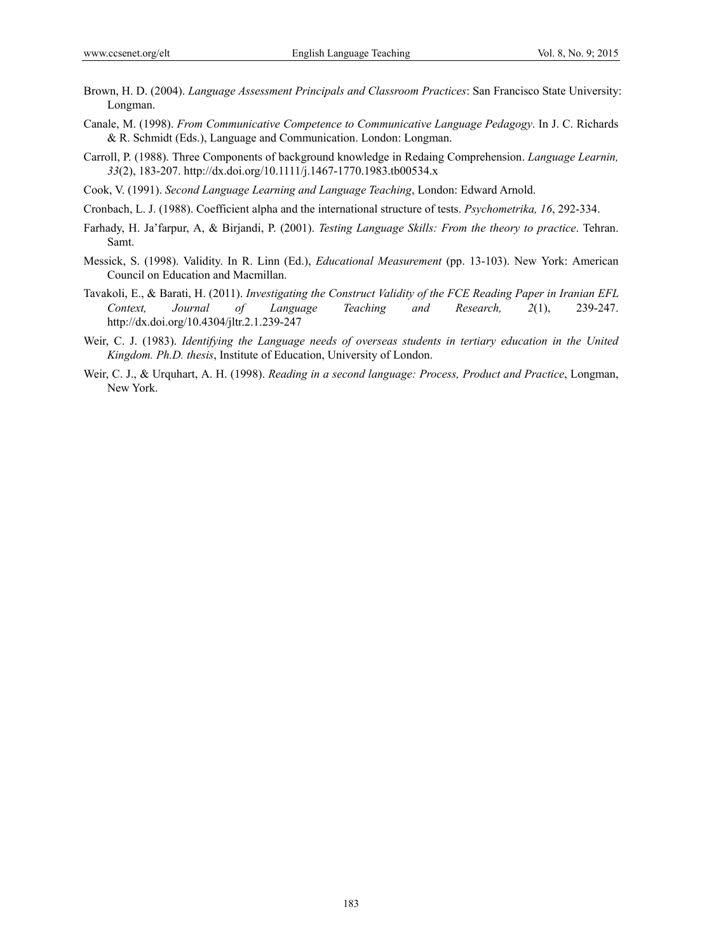- Brown, H. D. (2004). *Language Assessment Principals and Classroom Practices*: San Francisco State University: Longman.
- Canale, M. (1998). *From Communicative Competence to Communicative Language Pedagogy*. In J. C. Richards & R. Schmidt (Eds.), Language and Communication. London: Longman.
- Carroll, P. (1988). Three Components of background knowledge in Redaing Comprehension. *Language Learnin, 33*(2), 183-207. http://dx.doi.org/10.1111/j.1467-1770.1983.tb00534.x
- Cook, V. (1991). *Second Language Learning and Language Teaching*, London: Edward Arnold.
- Cronbach, L. J. (1988). Coefficient alpha and the international structure of tests. *Psychometrika, 16*, 292-334.
- Farhady, H. Ja'farpur, A, & Birjandi, P. (2001). *Testing Language Skills: From the theory to practice*. Tehran. Samt.
- Messick, S. (1998). Validity. In R. Linn (Ed.), *Educational Measurement* (pp. 13-103). New York: American Council on Education and Macmillan.
- Tavakoli, E., & Barati, H. (2011). *Investigating the Construct Validity of the FCE Reading Paper in Iranian EFL Context, Journal of Language Teaching and Research, 2*(1), 239-247. http://dx.doi.org/10.4304/jltr.2.1.239-247
- Weir, C. J. (1983). *Identifying the Language needs of overseas students in tertiary education in the United Kingdom. Ph.D. thesis*, Institute of Education, University of London.
- Weir, C. J., & Urquhart, A. H. (1998). *Reading in a second language: Process, Product and Practice*, Longman, New York.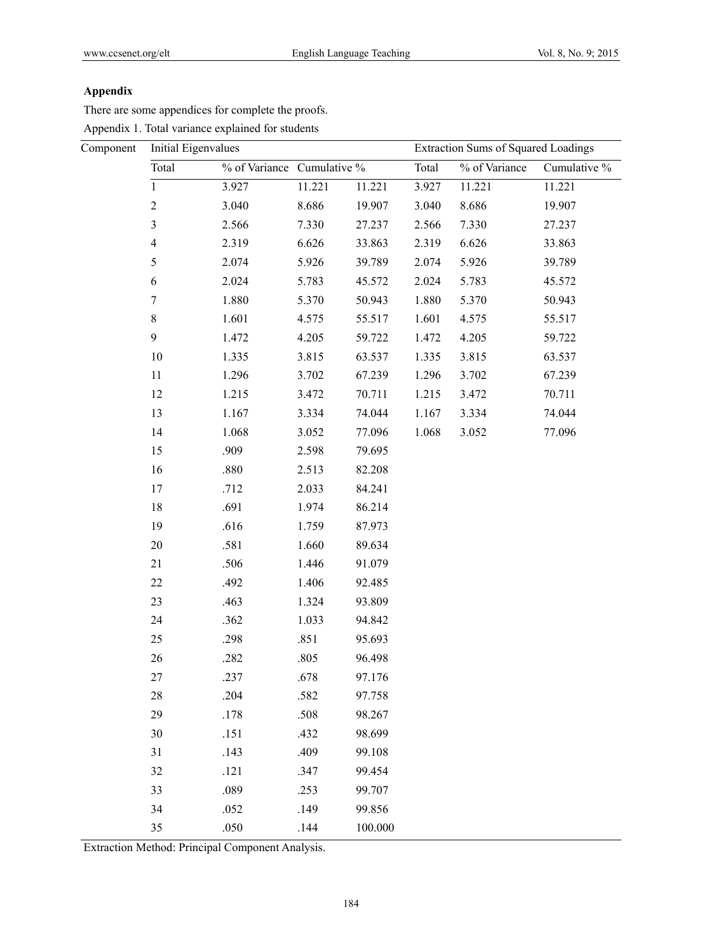# **Appendix**

There are some appendices for complete the proofs.

| Appendix 1. Total variance explained for students |  |  |  |  |  |
|---------------------------------------------------|--|--|--|--|--|
|---------------------------------------------------|--|--|--|--|--|

| Component | <b>Initial Eigenvalues</b> |                            |        | <b>Extraction Sums of Squared Loadings</b> |       |               |              |  |
|-----------|----------------------------|----------------------------|--------|--------------------------------------------|-------|---------------|--------------|--|
|           | Total                      | % of Variance Cumulative % |        |                                            | Total | % of Variance | Cumulative % |  |
|           | $\mathbf{1}$               | 3.927                      | 11.221 | 11.221                                     | 3.927 | 11.221        | 11.221       |  |
|           | $\boldsymbol{2}$           | 3.040                      | 8.686  | 19.907                                     | 3.040 | 8.686         | 19.907       |  |
|           | $\mathfrak{Z}$             | 2.566                      | 7.330  | 27.237                                     | 2.566 | 7.330         | 27.237       |  |
|           | $\overline{\mathcal{L}}$   | 2.319                      | 6.626  | 33.863                                     | 2.319 | 6.626         | 33.863       |  |
|           | 5                          | 2.074                      | 5.926  | 39.789                                     | 2.074 | 5.926         | 39.789       |  |
|           | $\boldsymbol{6}$           | 2.024                      | 5.783  | 45.572                                     | 2.024 | 5.783         | 45.572       |  |
|           | $\boldsymbol{7}$           | 1.880                      | 5.370  | 50.943                                     | 1.880 | 5.370         | 50.943       |  |
|           | $\,$ $\,$                  | 1.601                      | 4.575  | 55.517                                     | 1.601 | 4.575         | 55.517       |  |
|           | 9                          | 1.472                      | 4.205  | 59.722                                     | 1.472 | 4.205         | 59.722       |  |
|           | 10                         | 1.335                      | 3.815  | 63.537                                     | 1.335 | 3.815         | 63.537       |  |
|           | $11\,$                     | 1.296                      | 3.702  | 67.239                                     | 1.296 | 3.702         | 67.239       |  |
|           | 12                         | 1.215                      | 3.472  | 70.711                                     | 1.215 | 3.472         | 70.711       |  |
|           | 13                         | 1.167                      | 3.334  | 74.044                                     | 1.167 | 3.334         | 74.044       |  |
|           | 14                         | 1.068                      | 3.052  | 77.096                                     | 1.068 | 3.052         | 77.096       |  |
|           | 15                         | .909                       | 2.598  | 79.695                                     |       |               |              |  |
|           | 16                         | .880                       | 2.513  | 82.208                                     |       |               |              |  |
|           | 17                         | .712                       | 2.033  | 84.241                                     |       |               |              |  |
|           | 18                         | .691                       | 1.974  | 86.214                                     |       |               |              |  |
|           | 19                         | .616                       | 1.759  | 87.973                                     |       |               |              |  |
|           | $20\,$                     | .581                       | 1.660  | 89.634                                     |       |               |              |  |
|           | 21                         | .506                       | 1.446  | 91.079                                     |       |               |              |  |
|           | 22                         | .492                       | 1.406  | 92.485                                     |       |               |              |  |
|           | 23                         | .463                       | 1.324  | 93.809                                     |       |               |              |  |
|           | 24                         | .362                       | 1.033  | 94.842                                     |       |               |              |  |
|           | 25                         | .298                       | .851   | 95.693                                     |       |               |              |  |
|           | 26                         | .282                       | .805   | 96.498                                     |       |               |              |  |
|           | 27                         | .237                       | .678   | 97.176                                     |       |               |              |  |
|           | 28                         | .204                       | .582   | 97.758                                     |       |               |              |  |
|           | 29                         | .178                       | .508   | 98.267                                     |       |               |              |  |
|           | 30                         | .151                       | .432   | 98.699                                     |       |               |              |  |
|           | 31                         | .143                       | .409   | 99.108                                     |       |               |              |  |
|           | 32                         | .121                       | .347   | 99.454                                     |       |               |              |  |
|           | 33                         | .089                       | .253   | 99.707                                     |       |               |              |  |
|           | 34                         | .052                       | .149   | 99.856                                     |       |               |              |  |
|           | 35                         | .050                       | .144   | 100.000                                    |       |               |              |  |

Extraction Method: Principal Component Analysis.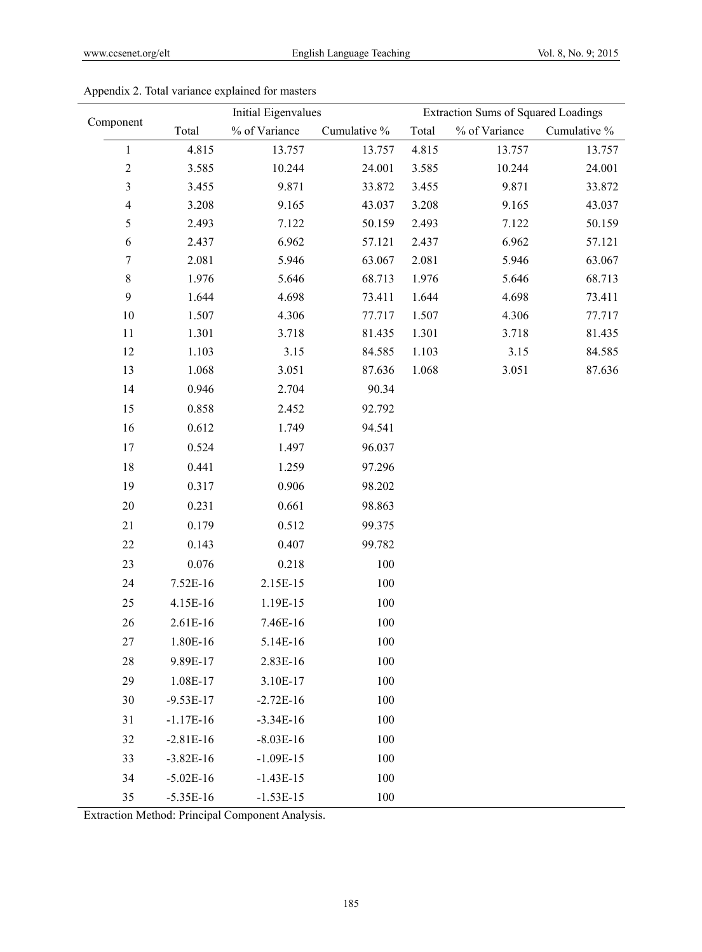| Component               | <b>Initial Eigenvalues</b> |               |              | <b>Extraction Sums of Squared Loadings</b> |               |              |
|-------------------------|----------------------------|---------------|--------------|--------------------------------------------|---------------|--------------|
|                         | Total                      | % of Variance | Cumulative % | Total                                      | % of Variance | Cumulative % |
| $\mathbf{1}$            | 4.815                      | 13.757        | 13.757       | 4.815                                      | 13.757        | 13.757       |
| $\overline{c}$          | 3.585                      | 10.244        | 24.001       | 3.585                                      | 10.244        | 24.001       |
| $\overline{\mathbf{3}}$ | 3.455                      | 9.871         | 33.872       | 3.455                                      | 9.871         | 33.872       |
| $\overline{\mathbf{4}}$ | 3.208                      | 9.165         | 43.037       | 3.208                                      | 9.165         | 43.037       |
| $\sqrt{5}$              | 2.493                      | 7.122         | 50.159       | 2.493                                      | 7.122         | 50.159       |
| $\sqrt{6}$              | 2.437                      | 6.962         | 57.121       | 2.437                                      | 6.962         | 57.121       |
| $\boldsymbol{7}$        | 2.081                      | 5.946         | 63.067       | 2.081                                      | 5.946         | 63.067       |
| $\,$ $\,$               | 1.976                      | 5.646         | 68.713       | 1.976                                      | 5.646         | 68.713       |
| $\mathbf{9}$            | 1.644                      | 4.698         | 73.411       | 1.644                                      | 4.698         | 73.411       |
| $10\,$                  | 1.507                      | 4.306         | 77.717       | 1.507                                      | 4.306         | 77.717       |
| 11                      | 1.301                      | 3.718         | 81.435       | 1.301                                      | 3.718         | 81.435       |
| 12                      | 1.103                      | 3.15          | 84.585       | 1.103                                      | 3.15          | 84.585       |
| 13                      | 1.068                      | 3.051         | 87.636       | 1.068                                      | 3.051         | 87.636       |
| 14                      | 0.946                      | 2.704         | 90.34        |                                            |               |              |
| 15                      | 0.858                      | 2.452         | 92.792       |                                            |               |              |
| 16                      | 0.612                      | 1.749         | 94.541       |                                            |               |              |
| 17                      | 0.524                      | 1.497         | 96.037       |                                            |               |              |
| 18                      | 0.441                      | 1.259         | 97.296       |                                            |               |              |
| 19                      | 0.317                      | 0.906         | 98.202       |                                            |               |              |
| 20                      | 0.231                      | 0.661         | 98.863       |                                            |               |              |
| 21                      | 0.179                      | 0.512         | 99.375       |                                            |               |              |
| 22                      | 0.143                      | 0.407         | 99.782       |                                            |               |              |
| 23                      | 0.076                      | 0.218         | 100          |                                            |               |              |
| 24                      | 7.52E-16                   | 2.15E-15      | 100          |                                            |               |              |
| 25                      | 4.15E-16                   | 1.19E-15      | 100          |                                            |               |              |
| 26                      | 2.61E-16                   | 7.46E-16      | 100          |                                            |               |              |
| 27                      | 1.80E-16                   | 5.14E-16      | 100          |                                            |               |              |
| 28                      | 9.89E-17                   | 2.83E-16      | 100          |                                            |               |              |
| 29                      | 1.08E-17                   | 3.10E-17      | 100          |                                            |               |              |
|                         |                            |               |              |                                            |               |              |
| 30                      | $-9.53E-17$                | $-2.72E-16$   | 100<br>100   |                                            |               |              |
| 31                      | $-1.17E-16$                | $-3.34E-16$   |              |                                            |               |              |
| 32                      | $-2.81E-16$                | $-8.03E-16$   | 100          |                                            |               |              |
| 33                      | $-3.82E-16$                | $-1.09E-15$   | 100          |                                            |               |              |
| 34                      | $-5.02E-16$                | $-1.43E-15$   | 100          |                                            |               |              |
| 35                      | $-5.35E-16$                | $-1.53E-15$   | 100          |                                            |               |              |

Appendix 2. Total variance explained for masters

Extraction Method: Principal Component Analysis.